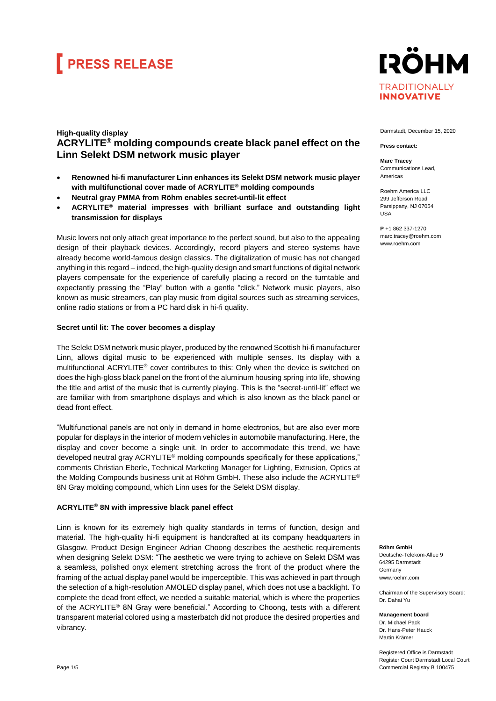## **FRESS RELEASE**

### **IRÖHM TRADITIONALLY INNOVATIVE**

### **High-quality display ACRYLITE® molding compounds create black panel effect on the Linn Selekt DSM network music player**

- **Renowned hi-fi manufacturer Linn enhances its Selekt DSM network music player with multifunctional cover made of ACRYLITE® molding compounds**
- **Neutral gray PMMA from Röhm enables secret-until-lit effect**
- **ACRYLITE® material impresses with brilliant surface and outstanding light transmission for displays**

Music lovers not only attach great importance to the perfect sound, but also to the appealing design of their playback devices. Accordingly, record players and stereo systems have already become world-famous design classics. The digitalization of music has not changed anything in this regard – indeed, the high-quality design and smart functions of digital network players compensate for the experience of carefully placing a record on the turntable and expectantly pressing the "Play" button with a gentle "click." Network music players, also known as music streamers, can play music from digital sources such as streaming services, online radio stations or from a PC hard disk in hi-fi quality.

#### **Secret until lit: The cover becomes a display**

The Selekt DSM network music player, produced by the renowned Scottish hi-fi manufacturer Linn, allows digital music to be experienced with multiple senses. Its display with a multifunctional ACRYLITE® cover contributes to this: Only when the device is switched on does the high-gloss black panel on the front of the aluminum housing spring into life, showing the title and artist of the music that is currently playing. This is the "secret-until-lit" effect we are familiar with from smartphone displays and which is also known as the black panel or dead front effect.

"Multifunctional panels are not only in demand in home electronics, but are also ever more popular for displays in the interior of modern vehicles in automobile manufacturing. Here, the display and cover become a single unit. In order to accommodate this trend, we have developed neutral gray ACRYLITE® molding compounds specifically for these applications," comments Christian Eberle, Technical Marketing Manager for Lighting, Extrusion, Optics at the Molding Compounds business unit at Röhm GmbH. These also include the ACRYLITE® 8N Gray molding compound, which Linn uses for the Selekt DSM display.

### **ACRYLITE® 8N with impressive black panel effect**

Linn is known for its extremely high quality standards in terms of function, design and material. The high-quality hi-fi equipment is handcrafted at its company headquarters in Glasgow. Product Design Engineer Adrian Choong describes the aesthetic requirements when designing Selekt DSM: "The aesthetic we were trying to achieve on Selekt DSM was a seamless, polished onyx element stretching across the front of the product where the framing of the actual display panel would be imperceptible. This was achieved in part through the selection of a high-resolution AMOLED display panel, which does not use a backlight. To complete the dead front effect, we needed a suitable material, which is where the properties of the ACRYLITE® 8N Gray were beneficial." According to Choong, tests with a different transparent material colored using a masterbatch did not produce the desired properties and vibrancy.



Darmstadt, December 15, 2020

**Press contact: Marc Tracey** Communications Lead,

Americas

USA

**P** +1 862 337-1270 marc.tracey@roehm.com www.roehm.com

Roehm America LLC

**Röhm GmbH** Deutsche-Telekom-Allee 9 64295 Darmstadt **Germany** [www.roehm.com](http://www.roehm.com/)

Chairman of the Supervisory Board: Dr. Dahai Yu

**Management board** Dr. Michael Pack Dr. Hans-Peter Hauck Martin Krämer

Registered Office is Darmstadt Register Court Darmstadt Local Court Commercial Registry B 100475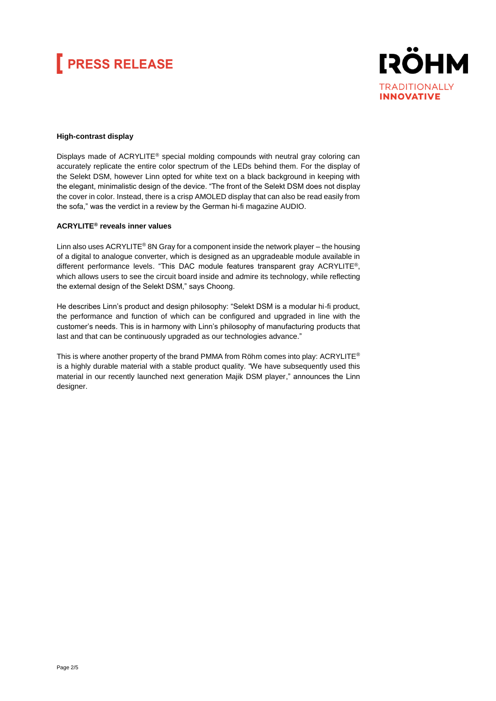# **FRESS RELEASE**



#### **High-contrast display**

Displays made of ACRYLITE® special molding compounds with neutral gray coloring can accurately replicate the entire color spectrum of the LEDs behind them. For the display of the Selekt DSM, however Linn opted for white text on a black background in keeping with the elegant, minimalistic design of the device. "The front of the Selekt DSM does not display the cover in color. Instead, there is a crisp AMOLED display that can also be read easily from the sofa," was the verdict in a review by the German hi-fi magazine AUDIO.

#### **ACRYLITE® reveals inner values**

Linn also uses ACRYLITE<sup>®</sup> 8N Gray for a component inside the network player – the housing of a digital to analogue converter, which is designed as an upgradeable module available in different performance levels. "This DAC module features transparent gray ACRYLITE®, which allows users to see the circuit board inside and admire its technology, while reflecting the external design of the Selekt DSM," says Choong.

He describes Linn's product and design philosophy: "Selekt DSM is a modular hi-fi product, the performance and function of which can be configured and upgraded in line with the customer's needs. This is in harmony with Linn's philosophy of manufacturing products that last and that can be continuously upgraded as our technologies advance."

This is where another property of the brand PMMA from Röhm comes into play:  $ACRYLITE<sup>®</sup>$ is a highly durable material with a stable product quality. "We have subsequently used this material in our recently launched next generation Majik DSM player," announces the Linn designer.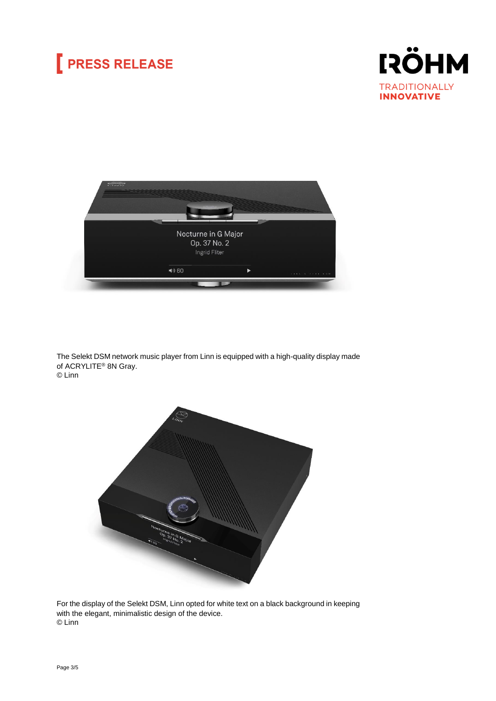## **PRESS RELEASE**





The Selekt DSM network music player from Linn is equipped with a high-quality display made of ACRYLITE® 8N Gray. © Linn



For the display of the Selekt DSM, Linn opted for white text on a black background in keeping with the elegant, minimalistic design of the device. © Linn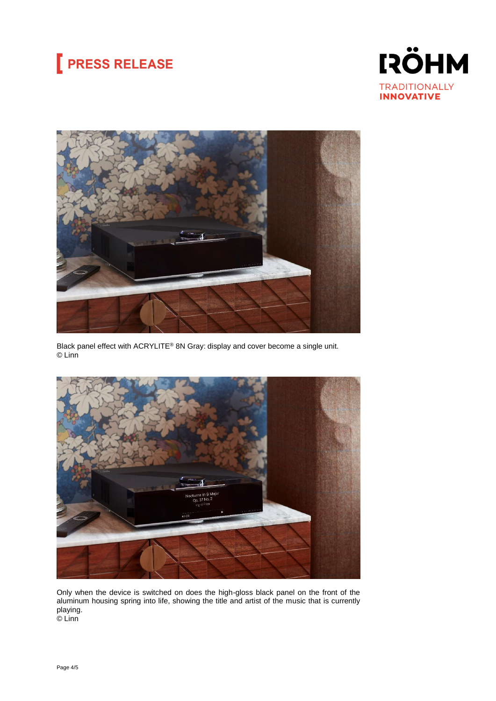# **PRESS RELEASE**





Black panel effect with ACRYLITE® 8N Gray: display and cover become a single unit. © Linn



Only when the device is switched on does the high-gloss black panel on the front of the aluminum housing spring into life, showing the title and artist of the music that is currently playing. © Linn

Page 4/5